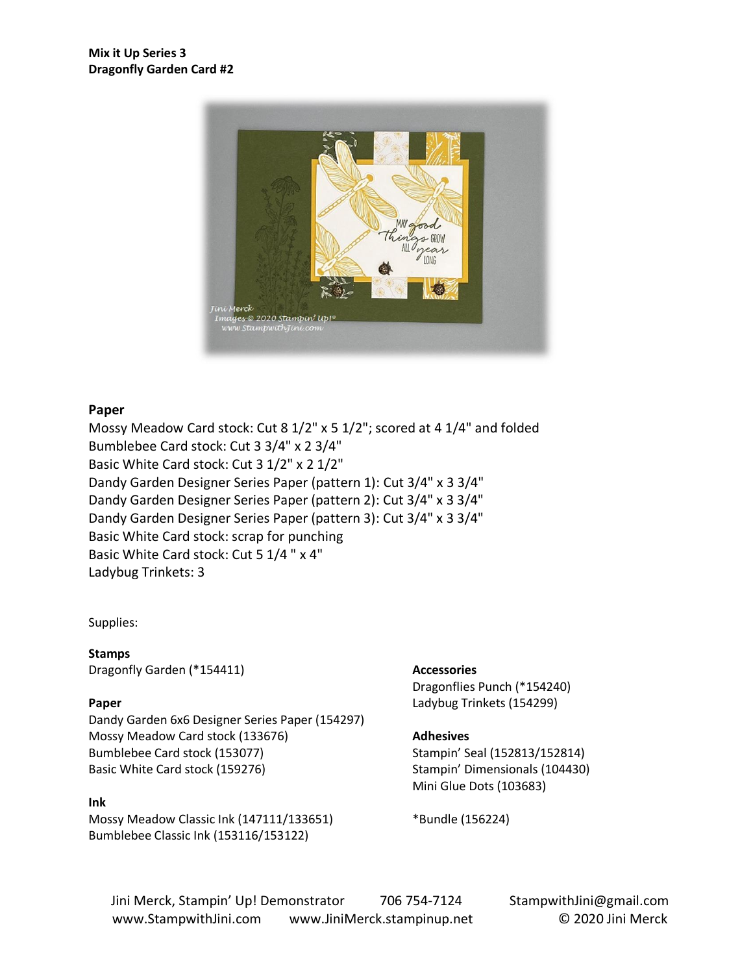

### **Paper**

Mossy Meadow Card stock: Cut 8 1/2" x 5 1/2"; scored at 4 1/4" and folded Bumblebee Card stock: Cut 3 3/4" x 2 3/4" Basic White Card stock: Cut 3 1/2" x 2 1/2" Dandy Garden Designer Series Paper (pattern 1): Cut 3/4" x 3 3/4" Dandy Garden Designer Series Paper (pattern 2): Cut 3/4" x 3 3/4" Dandy Garden Designer Series Paper (pattern 3): Cut 3/4" x 3 3/4" Basic White Card stock: scrap for punching Basic White Card stock: Cut 5 1/4 " x 4" Ladybug Trinkets: 3

#### Supplies:

**Stamps** Dragonfly Garden (\*154411)

#### **Paper**

Dandy Garden 6x6 Designer Series Paper (154297) Mossy Meadow Card stock (133676) Bumblebee Card stock (153077) Basic White Card stock (159276)

#### **Ink**

Mossy Meadow Classic Ink (147111/133651) Bumblebee Classic Ink (153116/153122)

#### **Accessories**

Dragonflies Punch (\*154240) Ladybug Trinkets (154299)

#### **Adhesives**

Stampin' Seal (152813/152814) Stampin' Dimensionals (104430) Mini Glue Dots (103683)

\*Bundle (156224)